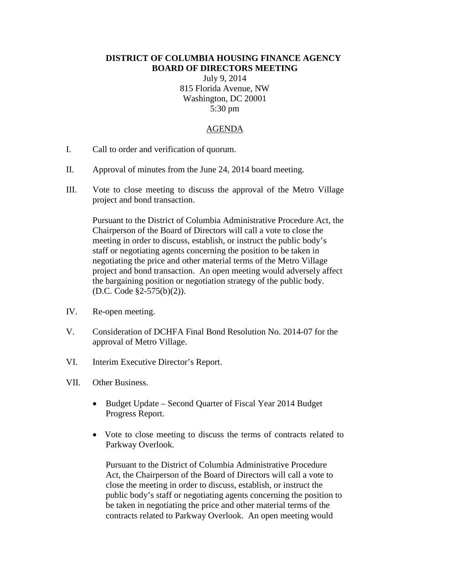## **DISTRICT OF COLUMBIA HOUSING FINANCE AGENCY BOARD OF DIRECTORS MEETING**

July 9, 2014 815 Florida Avenue, NW Washington, DC 20001 5:30 pm

## AGENDA

- I. Call to order and verification of quorum.
- II. Approval of minutes from the June 24, 2014 board meeting.
- III. Vote to close meeting to discuss the approval of the Metro Village project and bond transaction.

Pursuant to the District of Columbia Administrative Procedure Act, the Chairperson of the Board of Directors will call a vote to close the meeting in order to discuss, establish, or instruct the public body's staff or negotiating agents concerning the position to be taken in negotiating the price and other material terms of the Metro Village project and bond transaction. An open meeting would adversely affect the bargaining position or negotiation strategy of the public body. (D.C. Code §2-575(b)(2)).

- IV. Re-open meeting.
- V. Consideration of DCHFA Final Bond Resolution No. 2014-07 for the approval of Metro Village.
- VI. Interim Executive Director's Report.
- VII. Other Business.
	- Budget Update Second Quarter of Fiscal Year 2014 Budget Progress Report.
	- Vote to close meeting to discuss the terms of contracts related to Parkway Overlook.

Pursuant to the District of Columbia Administrative Procedure Act, the Chairperson of the Board of Directors will call a vote to close the meeting in order to discuss, establish, or instruct the public body's staff or negotiating agents concerning the position to be taken in negotiating the price and other material terms of the contracts related to Parkway Overlook. An open meeting would